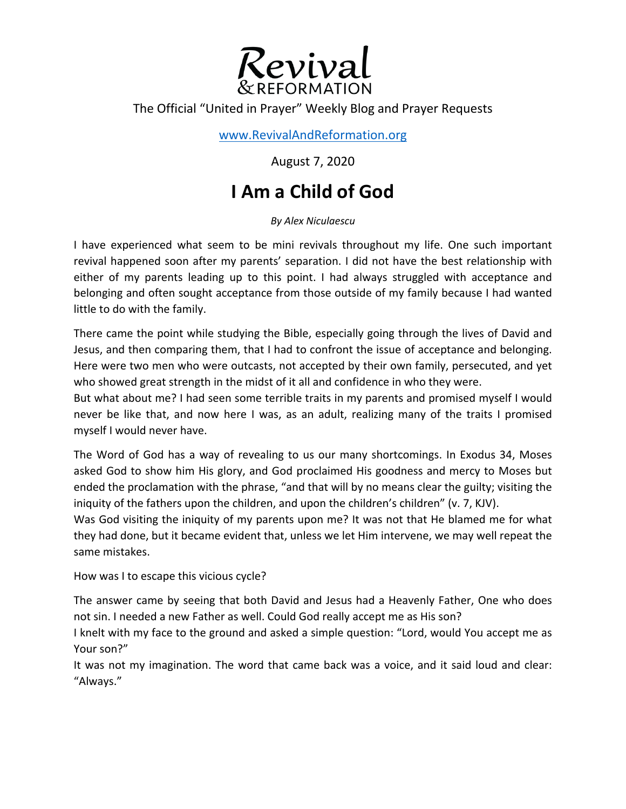

## The Official "United in Prayer" Weekly Blog and Prayer Requests

www.RevivalAndReformation.org

August 7, 2020

## **I Am a Child of God**

*By Alex Niculaescu*

I have experienced what seem to be mini revivals throughout my life. One such important revival happened soon after my parents' separation. I did not have the best relationship with either of my parents leading up to this point. I had always struggled with acceptance and belonging and often sought acceptance from those outside of my family because I had wanted little to do with the family.

There came the point while studying the Bible, especially going through the lives of David and Jesus, and then comparing them, that I had to confront the issue of acceptance and belonging. Here were two men who were outcasts, not accepted by their own family, persecuted, and yet who showed great strength in the midst of it all and confidence in who they were.

But what about me? I had seen some terrible traits in my parents and promised myself I would never be like that, and now here I was, as an adult, realizing many of the traits I promised myself I would never have.

The Word of God has a way of revealing to us our many shortcomings. In Exodus 34, Moses asked God to show him His glory, and God proclaimed His goodness and mercy to Moses but ended the proclamation with the phrase, "and that will by no means clear the guilty; visiting the iniquity of the fathers upon the children, and upon the children's children" (v. 7, KJV).

Was God visiting the iniquity of my parents upon me? It was not that He blamed me for what they had done, but it became evident that, unless we let Him intervene, we may well repeat the same mistakes.

How was I to escape this vicious cycle?

The answer came by seeing that both David and Jesus had a Heavenly Father, One who does not sin. I needed a new Father as well. Could God really accept me as His son?

I knelt with my face to the ground and asked a simple question: "Lord, would You accept me as Your son?"

It was not my imagination. The word that came back was a voice, and it said loud and clear: "Always."